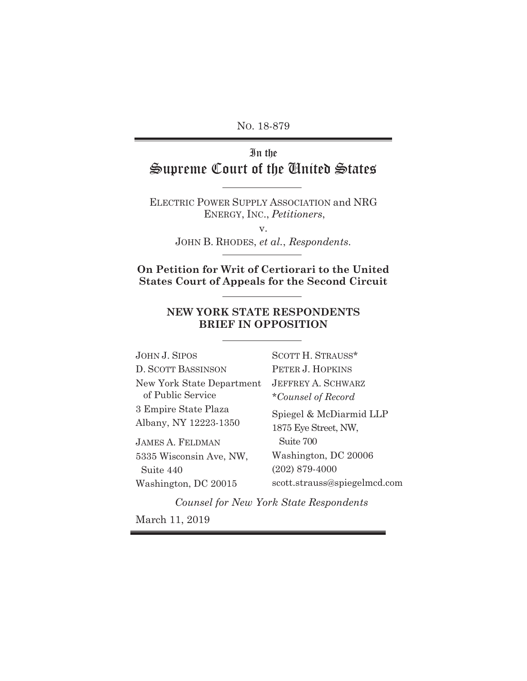NO. 18-879

# In the Supreme Court of the United States

ELECTRIC POWER SUPPLY ASSOCIATION and NRG ENERGY, INC., *Petitioners*,

v.

JOHN B. RHODES, *et al.*, *Respondents*.

**On Petition for Writ of Certiorari to the United States Court of Appeals for the Second Circuit** 

## **NEW YORK STATE RESPONDENTS BRIEF IN OPPOSITION**

| JOHN J. SIPOS             | SCOTT H. STRAUSS*            |
|---------------------------|------------------------------|
| D. SCOTT BASSINSON        | PETER J. HOPKINS             |
| New York State Department | <b>JEFFREY A. SCHWARZ</b>    |
| of Public Service         | *Counsel of Record           |
| 3 Empire State Plaza      | Spiegel & McDiarmid LLP      |
| Albany, NY 12223-1350     | 1875 Eye Street, NW,         |
| JAMES A. FELDMAN          | Suite 700                    |
| 5335 Wisconsin Ave, NW,   | Washington, DC 20006         |
| Suite 440                 | $(202)$ 879-4000             |
| Washington, DC 20015      | scott.strauss@spiegelmcd.com |

*Counsel for New York State Respondents* March 11, 2019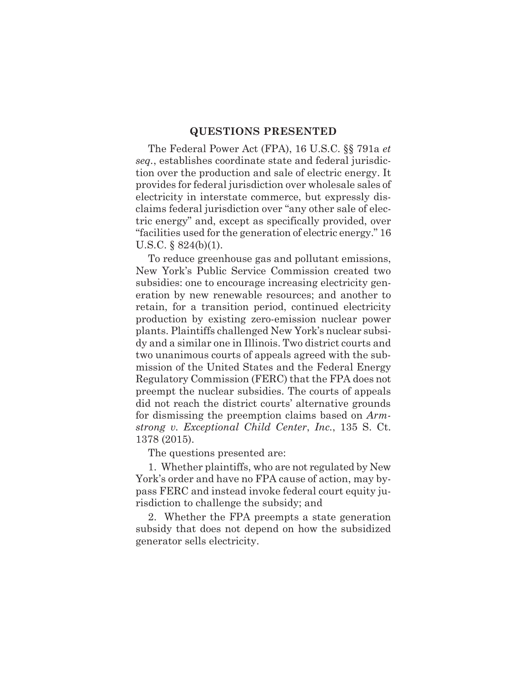#### **QUESTIONS PRESENTED**

The Federal Power Act (FPA), 16 U.S.C. §§ 791a *et seq.*, establishes coordinate state and federal jurisdiction over the production and sale of electric energy. It provides for federal jurisdiction over wholesale sales of electricity in interstate commerce, but expressly disclaims federal jurisdiction over "any other sale of electric energy" and, except as specifically provided, over "facilities used for the generation of electric energy." 16 U.S.C. § 824(b)(1).

To reduce greenhouse gas and pollutant emissions, New York's Public Service Commission created two subsidies: one to encourage increasing electricity generation by new renewable resources; and another to retain, for a transition period, continued electricity production by existing zero-emission nuclear power plants. Plaintiffs challenged New York's nuclear subsidy and a similar one in Illinois. Two district courts and two unanimous courts of appeals agreed with the submission of the United States and the Federal Energy Regulatory Commission (FERC) that the FPA does not preempt the nuclear subsidies. The courts of appeals did not reach the district courts' alternative grounds for dismissing the preemption claims based on *Armstrong v. Exceptional Child Center*, *Inc.*, 135 S. Ct. 1378 (2015).

The questions presented are:

1. Whether plaintiffs, who are not regulated by New York's order and have no FPA cause of action, may bypass FERC and instead invoke federal court equity jurisdiction to challenge the subsidy; and

2. Whether the FPA preempts a state generation subsidy that does not depend on how the subsidized generator sells electricity.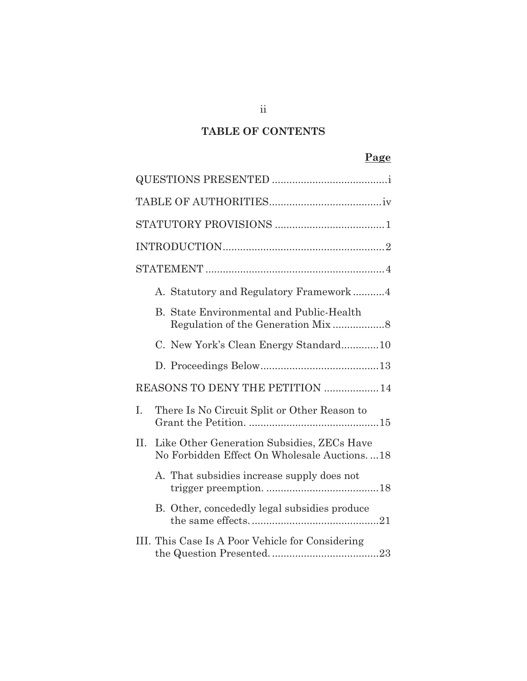# **TABLE OF CONTENTS**

# **Page**

|     | A. Statutory and Regulatory Framework4                                                    |  |  |
|-----|-------------------------------------------------------------------------------------------|--|--|
|     | B. State Environmental and Public-Health                                                  |  |  |
|     | C. New York's Clean Energy Standard10                                                     |  |  |
|     |                                                                                           |  |  |
|     | REASONS TO DENY THE PETITION  14                                                          |  |  |
| I.  | There Is No Circuit Split or Other Reason to                                              |  |  |
| II. | Like Other Generation Subsidies, ZECs Have<br>No Forbidden Effect On Wholesale Auctions18 |  |  |
|     | A. That subsidies increase supply does not                                                |  |  |
|     | B. Other, concededly legal subsidies produce                                              |  |  |
|     | III. This Case Is A Poor Vehicle for Considering                                          |  |  |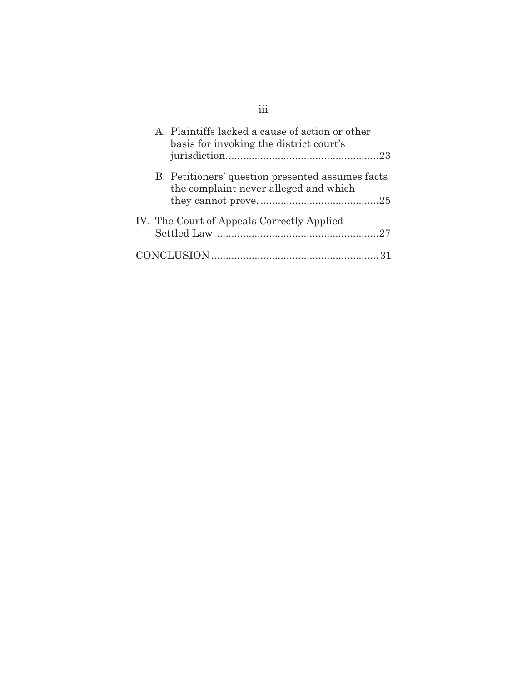|  | A. Plaintiffs lacked a cause of action or other<br>basis for invoking the district court's |
|--|--------------------------------------------------------------------------------------------|
|  |                                                                                            |
|  | B. Petitioners' question presented assumes facts<br>the complaint never alleged and which  |
|  |                                                                                            |
|  | IV. The Court of Appeals Correctly Applied                                                 |
|  |                                                                                            |
|  |                                                                                            |

iii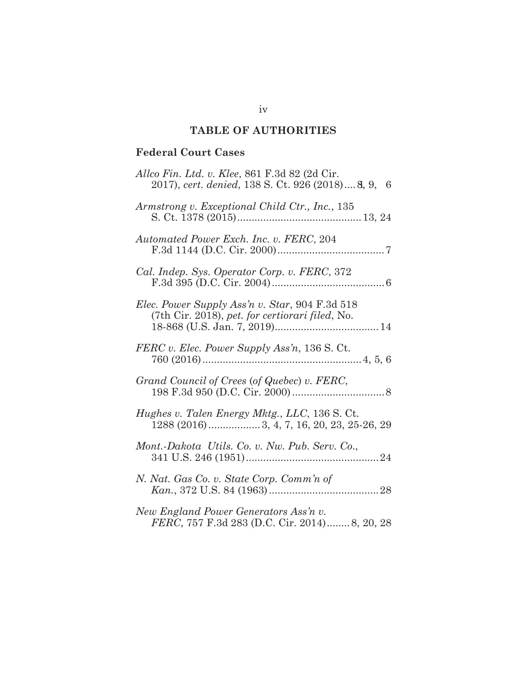# **TABLE OF AUTHORITIES**

## **Federal Court Cases**

| Allco Fin. Ltd. v. Klee, 861 F.3d 82 (2d Cir.<br>2017), cert. denied, 138 S. Ct. 926 (2018) 8, 9, 6 |
|-----------------------------------------------------------------------------------------------------|
| Armstrong v. Exceptional Child Ctr., Inc., 135                                                      |
| Automated Power Exch. Inc. v. FERC, 204                                                             |
| Cal. Indep. Sys. Operator Corp. v. FERC, 372                                                        |
| Elec. Power Supply Ass'n v. Star, 904 F.3d 518<br>(7th Cir. 2018), pet. for certiorari filed, No.   |
| FERC v. Elec. Power Supply Ass'n, 136 S. Ct.                                                        |
| Grand Council of Crees (of Quebec) v. FERC,                                                         |
| Hughes v. Talen Energy Mktg., LLC, 136 S. Ct.                                                       |
| Mont.-Dakota Utils. Co. v. Nw. Pub. Serv. Co.,                                                      |
| N. Nat. Gas Co. v. State Corp. Comm'n of                                                            |
| New England Power Generators Ass'n v.<br>FERC, 757 F.3d 283 (D.C. Cir. 2014)8, 20, 28               |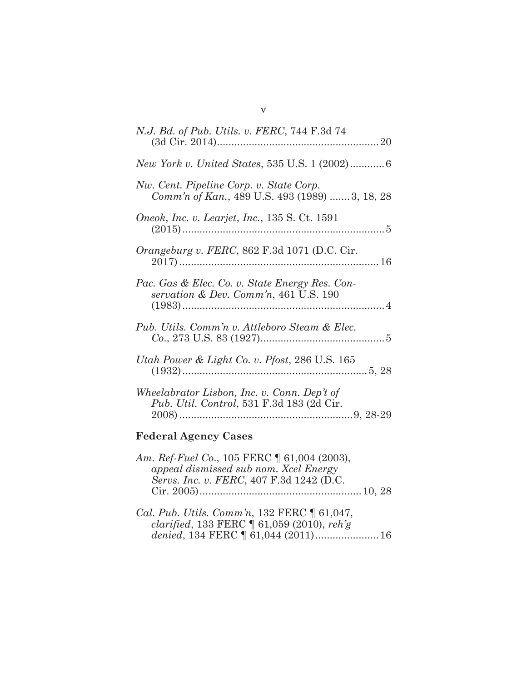| <i>N.J. Bd. of Pub. Utils. v. FERC, 744 F.3d 74</i>                                               |
|---------------------------------------------------------------------------------------------------|
| New York v. United States, 535 U.S. 1 (2002)6                                                     |
| Nw. Cent. Pipeline Corp. v. State Corp.<br>Comm'n of Kan., 489 U.S. 493 (1989) 3, 18, 28          |
| Oneok, Inc. v. Learjet, Inc., 135 S. Ct. 1591                                                     |
| <i>Orangeburg v. FERC</i> , 862 F.3d 1071 (D.C. Cir.                                              |
| Pac. Gas & Elec. Co. v. State Energy Res. Con-<br>servation & Dev. Comm'n, $461$ U.S. 190         |
| Pub. Utils. Comm'n v. Attleboro Steam & Elec.<br>$Co., 273 \text{ U.S. } 83 \text{ (1927)} \dots$ |
| Utah Power & Light Co. v. Pfost, 286 U.S. 165                                                     |
| Wheelabrator Lisbon, Inc. v. Conn. Dep't of<br>Pub. Util. Control, 531 F.3d 183 (2d Cir.          |

# **Federal Agency Cases**

| Am. Ref-Fuel Co., 105 FERC ¶ 61,004 (2003),                                                              |  |
|----------------------------------------------------------------------------------------------------------|--|
| appeal dismissed sub nom. Xcel Energy                                                                    |  |
| Servs. Inc. v. FERC, 407 F.3d 1242 (D.C.                                                                 |  |
|                                                                                                          |  |
|                                                                                                          |  |
| $C_{\alpha}l$ $D_{\alpha}l$ , $I^{\mu}l_{\alpha}$ , $C_{\alpha}m m_{\alpha}^{2}$ , 199 $FFDC$ ( $c1.047$ |  |

*Cal. Pub. Utils. Comm'n*, 132 FERC ¶ 61,047, *clarified*, 133 FERC ¶ 61,059 (2010), *reh'g denied*, 134 FERC ¶ 61,044 (2011) ...................... 16

| ۰.<br>K, |  |
|----------|--|
|          |  |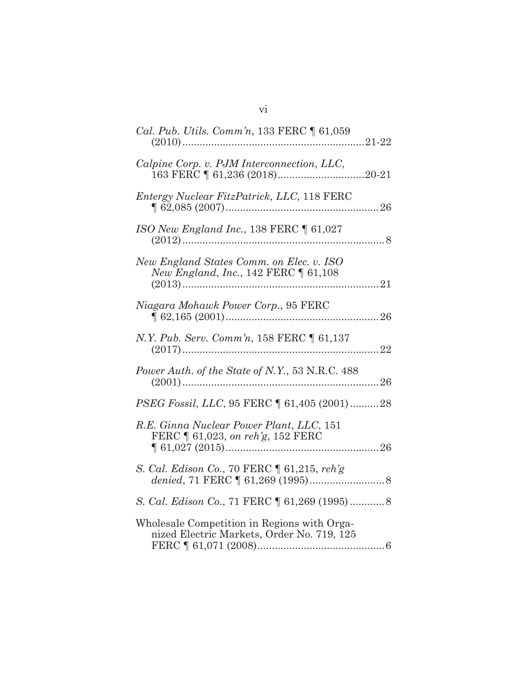| Cal. Pub. Utils. Comm'n, 133 FERC $\parallel$ 61,059                                      |
|-------------------------------------------------------------------------------------------|
| Calpine Corp. v. PJM Interconnection, LLC,                                                |
| Entergy Nuclear FitzPatrick, LLC, 118 FERC                                                |
| ISO New England Inc., 138 FERC $\parallel$ 61,027                                         |
| New England States Comm. on Elec. v. ISO<br>New England, Inc., 142 FERC   61,108          |
| Niagara Mohawk Power Corp., 95 FERC                                                       |
| N.Y. Pub. Serv. Comm'n, 158 FERC [ 61,137                                                 |
| Power Auth. of the State of N.Y., 53 N.R.C. 488                                           |
| PSEG Fossil, LLC, 95 FERC   61,405 (2001) 28                                              |
| R.E. Ginna Nuclear Power Plant, LLC, 151<br>FERC   61,023, on reh'g, 152 FERC             |
| S. Cal. Edison Co., 70 FERC   61,215, reh'g                                               |
| S. Cal. Edison Co., 71 FERC   61,269 (1995)  8                                            |
| Wholesale Competition in Regions with Orga-<br>nized Electric Markets, Order No. 719, 125 |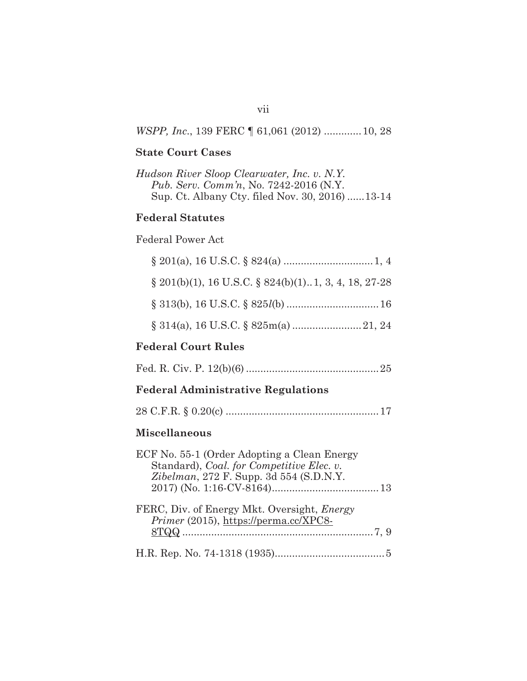## *WSPP, Inc*., 139 FERC ¶ 61,061 (2012) ............. 10, 28

## **State Court Cases**

| Hudson River Sloop Clearwater, Inc. v. N.Y.    |
|------------------------------------------------|
| <i>Pub. Serv. Comm'n, No. 7242-2016 (N.Y.</i>  |
| Sup. Ct. Albany Cty. filed Nov. 30, 2016)13-14 |

# **Federal Statutes**

## Federal Power Act

| $\S$ 201(b)(1), 16 U.S.C. $\S$ 824(b)(1). 1, 3, 4, 18, 27-28 |
|--------------------------------------------------------------|
|                                                              |

# **Federal Court Rules**

|--|--|--|--|

# **Federal Administrative Regulations**

|--|--|--|--|--|--|

# **Miscellaneous**

| ECF No. 55-1 (Order Adopting a Clean Energy                                                 |
|---------------------------------------------------------------------------------------------|
| Standard), Coal. for Competitive Elec. v.                                                   |
| Zibelman, 272 F. Supp. 3d 554 (S.D.N.Y.)                                                    |
|                                                                                             |
| FERC, Div. of Energy Mkt. Oversight, <i>Energy</i><br>Primer (2015), https://perma.cc/XPC8- |
|                                                                                             |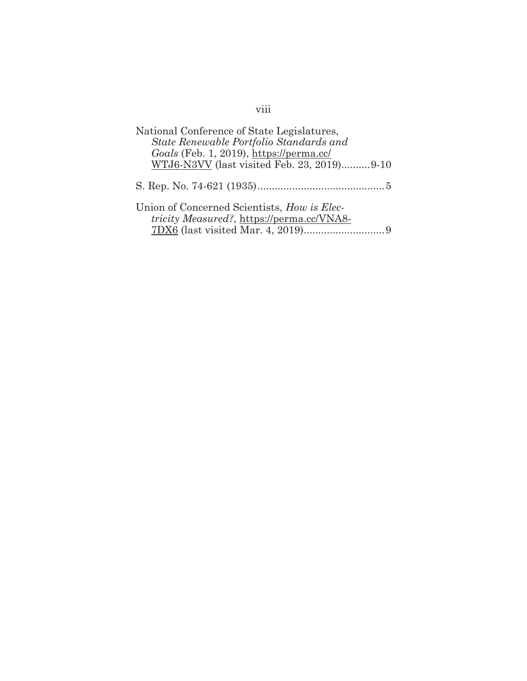| National Conference of State Legislatures,<br>State Renewable Portfolio Standards and<br>Goals (Feb. 1, 2019), https://perma.cc/ |  |
|----------------------------------------------------------------------------------------------------------------------------------|--|
| WTJ6-N3VV (last visited Feb. 23, 2019)9-10                                                                                       |  |
|                                                                                                                                  |  |
| Union of Concerned Scientists, How is Elec-<br><i>tricity Measured?</i> , https://perma.cc/VNA8-                                 |  |

# viii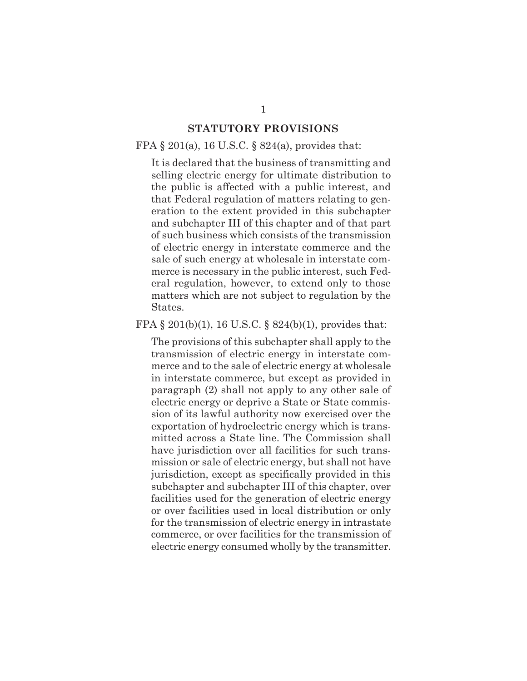## **STATUTORY PROVISIONS**

### FPA  $\S 201(a)$ , 16 U.S.C.  $\S 824(a)$ , provides that:

It is declared that the business of transmitting and selling electric energy for ultimate distribution to the public is affected with a public interest, and that Federal regulation of matters relating to generation to the extent provided in this subchapter and subchapter III of this chapter and of that part of such business which consists of the transmission of electric energy in interstate commerce and the sale of such energy at wholesale in interstate commerce is necessary in the public interest, such Federal regulation, however, to extend only to those matters which are not subject to regulation by the States.

#### FPA § 201(b)(1), 16 U.S.C. § 824(b)(1), provides that:

The provisions of this subchapter shall apply to the transmission of electric energy in interstate commerce and to the sale of electric energy at wholesale in interstate commerce, but except as provided in paragraph (2) shall not apply to any other sale of electric energy or deprive a State or State commission of its lawful authority now exercised over the exportation of hydroelectric energy which is transmitted across a State line. The Commission shall have jurisdiction over all facilities for such transmission or sale of electric energy, but shall not have jurisdiction, except as specifically provided in this subchapter and subchapter III of this chapter, over facilities used for the generation of electric energy or over facilities used in local distribution or only for the transmission of electric energy in intrastate commerce, or over facilities for the transmission of electric energy consumed wholly by the transmitter.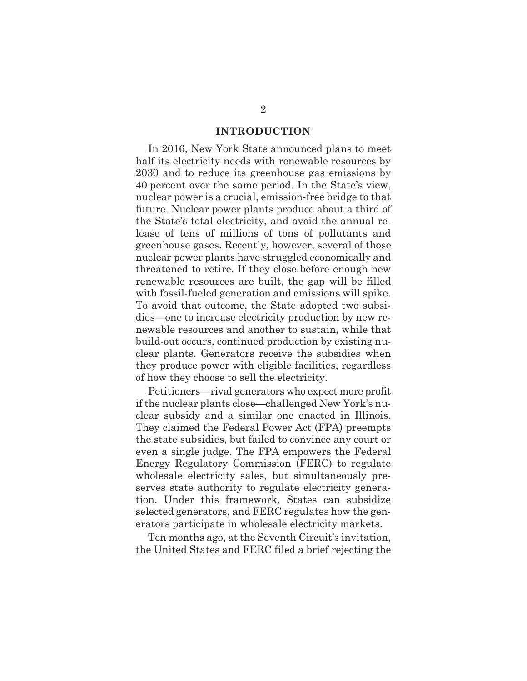#### **INTRODUCTION**

In 2016, New York State announced plans to meet half its electricity needs with renewable resources by 2030 and to reduce its greenhouse gas emissions by 40 percent over the same period. In the State's view, nuclear power is a crucial, emission-free bridge to that future. Nuclear power plants produce about a third of the State's total electricity, and avoid the annual release of tens of millions of tons of pollutants and greenhouse gases. Recently, however, several of those nuclear power plants have struggled economically and threatened to retire. If they close before enough new renewable resources are built, the gap will be filled with fossil-fueled generation and emissions will spike. To avoid that outcome, the State adopted two subsidies—one to increase electricity production by new renewable resources and another to sustain, while that build-out occurs, continued production by existing nuclear plants. Generators receive the subsidies when they produce power with eligible facilities, regardless of how they choose to sell the electricity.

Petitioners—rival generators who expect more profit if the nuclear plants close—challenged New York's nuclear subsidy and a similar one enacted in Illinois. They claimed the Federal Power Act (FPA) preempts the state subsidies, but failed to convince any court or even a single judge. The FPA empowers the Federal Energy Regulatory Commission (FERC) to regulate wholesale electricity sales, but simultaneously preserves state authority to regulate electricity generation. Under this framework, States can subsidize selected generators, and FERC regulates how the generators participate in wholesale electricity markets.

Ten months ago, at the Seventh Circuit's invitation, the United States and FERC filed a brief rejecting the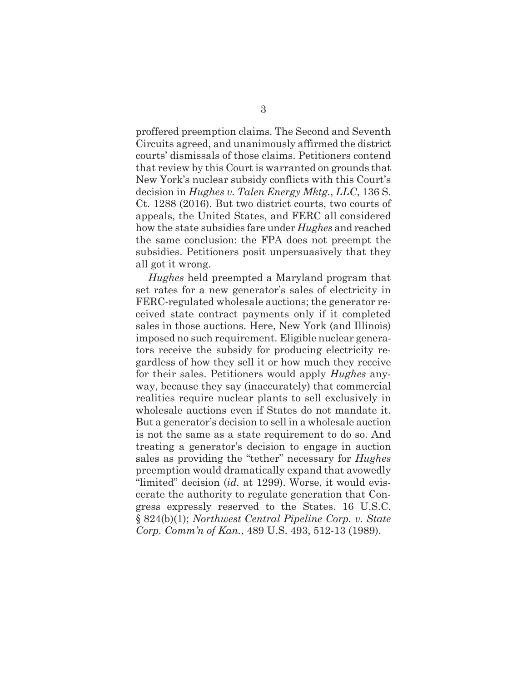proffered preemption claims. The Second and Seventh Circuits agreed, and unanimously affirmed the district courts' dismissals of those claims. Petitioners contend that review by this Court is warranted on grounds that New York's nuclear subsidy conflicts with this Court's decision in *Hughes v. Talen Energy Mktg.*, *LLC*, 136 S. Ct. 1288 (2016). But two district courts, two courts of appeals, the United States, and FERC all considered how the state subsidies fare under *Hughes* and reached the same conclusion: the FPA does not preempt the subsidies. Petitioners posit unpersuasively that they all got it wrong.

*Hughes* held preempted a Maryland program that set rates for a new generator's sales of electricity in FERC-regulated wholesale auctions; the generator received state contract payments only if it completed sales in those auctions. Here, New York (and Illinois) imposed no such requirement. Eligible nuclear generators receive the subsidy for producing electricity regardless of how they sell it or how much they receive for their sales. Petitioners would apply *Hughes* anyway, because they say (inaccurately) that commercial realities require nuclear plants to sell exclusively in wholesale auctions even if States do not mandate it. But a generator's decision to sell in a wholesale auction is not the same as a state requirement to do so. And treating a generator's decision to engage in auction sales as providing the "tether" necessary for *Hughes* preemption would dramatically expand that avowedly "limited" decision (*id.* at 1299). Worse, it would eviscerate the authority to regulate generation that Congress expressly reserved to the States. 16 U.S.C. § 824(b)(1); *Northwest Central Pipeline Corp. v. State Corp. Comm'n of Kan.*, 489 U.S. 493, 512-13 (1989).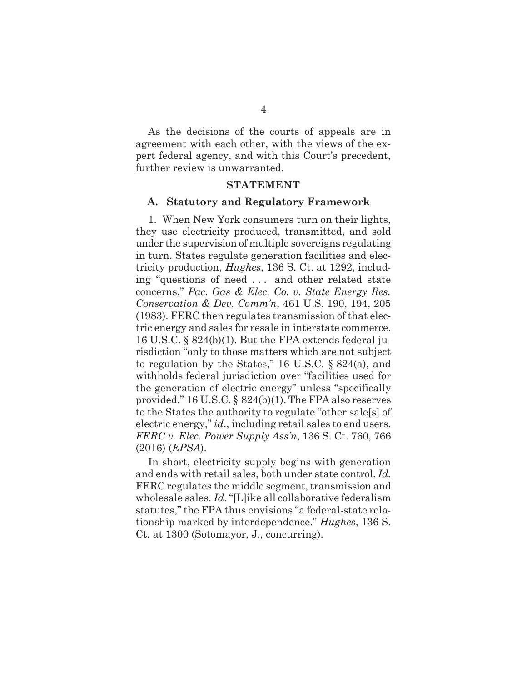As the decisions of the courts of appeals are in agreement with each other, with the views of the expert federal agency, and with this Court's precedent, further review is unwarranted.

#### **STATEMENT**

#### **A. Statutory and Regulatory Framework**

1. When New York consumers turn on their lights, they use electricity produced, transmitted, and sold under the supervision of multiple sovereigns regulating in turn. States regulate generation facilities and electricity production, *Hughes*, 136 S. Ct. at 1292, including "questions of need . . . and other related state concerns," *Pac. Gas & Elec. Co. v. State Energy Res. Conservation & Dev. Comm'n*, 461 U.S. 190, 194, 205 (1983). FERC then regulates transmission of that electric energy and sales for resale in interstate commerce. 16 U.S.C. § 824(b)(1). But the FPA extends federal jurisdiction "only to those matters which are not subject to regulation by the States," 16 U.S.C. § 824(a), and withholds federal jurisdiction over "facilities used for the generation of electric energy" unless "specifically provided." 16 U.S.C. § 824(b)(1). The FPA also reserves to the States the authority to regulate "other sale[s] of electric energy," *id*., including retail sales to end users. *FERC v. Elec. Power Supply Ass'n*, 136 S. Ct. 760, 766 (2016) (*EPSA*).

In short, electricity supply begins with generation and ends with retail sales, both under state control. *Id.* FERC regulates the middle segment, transmission and wholesale sales. *Id*. "[L]ike all collaborative federalism statutes," the FPA thus envisions "a federal-state relationship marked by interdependence." *Hughes*, 136 S. Ct. at 1300 (Sotomayor, J., concurring).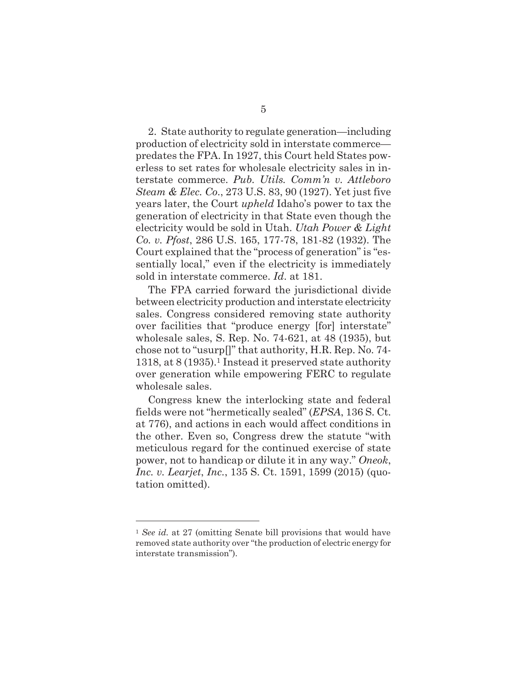2. State authority to regulate generation—including production of electricity sold in interstate commerce predates the FPA. In 1927, this Court held States powerless to set rates for wholesale electricity sales in interstate commerce. *Pub. Utils. Comm'n v. Attleboro Steam & Elec. Co*., 273 U.S. 83, 90 (1927). Yet just five years later, the Court *upheld* Idaho's power to tax the generation of electricity in that State even though the electricity would be sold in Utah. *Utah Power & Light Co. v. Pfost*, 286 U.S. 165, 177-78, 181-82 (1932). The Court explained that the "process of generation" is "essentially local," even if the electricity is immediately sold in interstate commerce. *Id*. at 181.

The FPA carried forward the jurisdictional divide between electricity production and interstate electricity sales. Congress considered removing state authority over facilities that "produce energy [for] interstate" wholesale sales, S. Rep. No. 74-621, at 48 (1935), but chose not to "usurp[]" that authority, H.R. Rep. No. 74- 1318, at 8 (1935).1 Instead it preserved state authority over generation while empowering FERC to regulate wholesale sales.

Congress knew the interlocking state and federal fields were not "hermetically sealed" (*EPSA*, 136 S. Ct. at 776), and actions in each would affect conditions in the other. Even so, Congress drew the statute "with meticulous regard for the continued exercise of state power, not to handicap or dilute it in any way." *Oneok*, *Inc. v. Learjet*, *Inc.*, 135 S. Ct. 1591, 1599 (2015) (quotation omitted).

<sup>1</sup> *See id.* at 27 (omitting Senate bill provisions that would have removed state authority over "the production of electric energy for interstate transmission").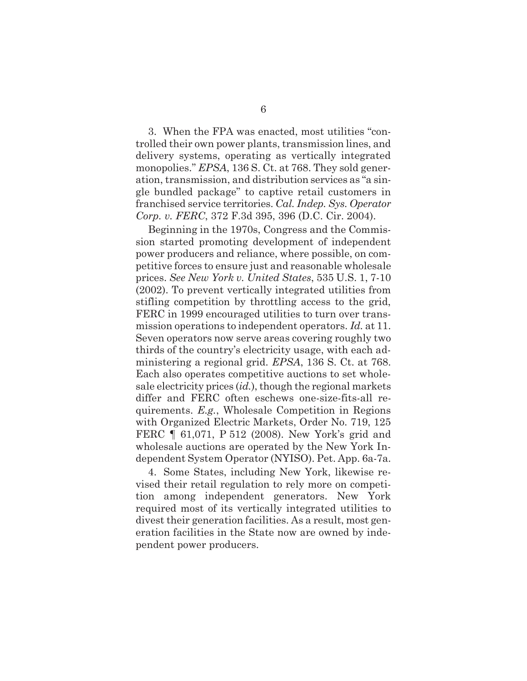3. When the FPA was enacted, most utilities "controlled their own power plants, transmission lines, and delivery systems, operating as vertically integrated monopolies." *EPSA*, 136 S. Ct. at 768. They sold generation, transmission, and distribution services as "a single bundled package" to captive retail customers in franchised service territories. *Cal. Indep. Sys. Operator Corp. v. FERC*, 372 F.3d 395, 396 (D.C. Cir. 2004).

Beginning in the 1970s, Congress and the Commission started promoting development of independent power producers and reliance, where possible, on competitive forces to ensure just and reasonable wholesale prices. *See New York v. United States*, 535 U.S. 1, 7-10 (2002). To prevent vertically integrated utilities from stifling competition by throttling access to the grid, FERC in 1999 encouraged utilities to turn over transmission operations to independent operators. *Id.* at 11. Seven operators now serve areas covering roughly two thirds of the country's electricity usage, with each administering a regional grid. *EPSA*, 136 S. Ct. at 768. Each also operates competitive auctions to set wholesale electricity prices (*id.*), though the regional markets differ and FERC often eschews one-size-fits-all requirements. *E.g.*, Wholesale Competition in Regions with Organized Electric Markets, Order No. 719, 125 FERC ¶ 61,071, P 512 (2008). New York's grid and wholesale auctions are operated by the New York Independent System Operator (NYISO). Pet. App. 6a-7a.

4. Some States, including New York, likewise revised their retail regulation to rely more on competition among independent generators. New York required most of its vertically integrated utilities to divest their generation facilities. As a result, most generation facilities in the State now are owned by independent power producers.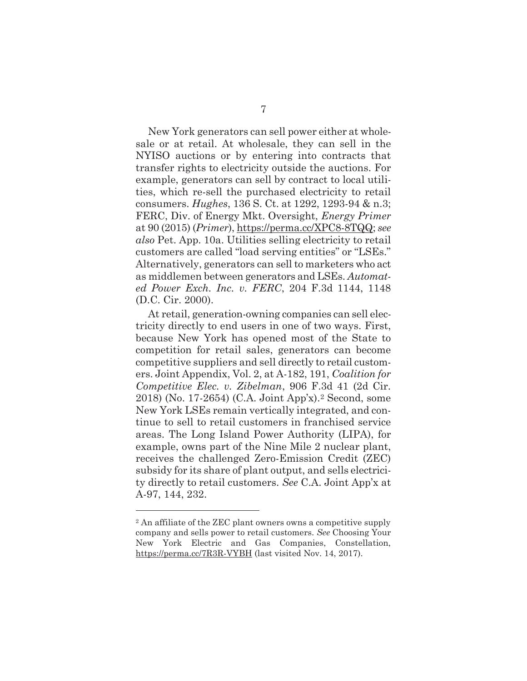New York generators can sell power either at wholesale or at retail. At wholesale, they can sell in the NYISO auctions or by entering into contracts that transfer rights to electricity outside the auctions. For example, generators can sell by contract to local utilities, which re-sell the purchased electricity to retail consumers. *Hughes*, 136 S. Ct. at 1292, 1293-94 & n.3; FERC, Div. of Energy Mkt. Oversight, *Energy Primer* at 90 (2015) (*Primer*), https://perma.cc/XPC8-8TQQ; *see also* Pet. App. 10a. Utilities selling electricity to retail customers are called "load serving entities" or "LSEs." Alternatively, generators can sell to marketers who act as middlemen between generators and LSEs. *Automated Power Exch. Inc. v. FERC*, 204 F.3d 1144, 1148 (D.C. Cir. 2000).

At retail, generation-owning companies can sell electricity directly to end users in one of two ways. First, because New York has opened most of the State to competition for retail sales, generators can become competitive suppliers and sell directly to retail customers. Joint Appendix, Vol. 2, at A-182, 191, *Coalition for Competitive Elec. v. Zibelman*, 906 F.3d 41 (2d Cir. 2018) (No. 17-2654) (C.A. Joint App'x).2 Second, some New York LSEs remain vertically integrated, and continue to sell to retail customers in franchised service areas. The Long Island Power Authority (LIPA), for example, owns part of the Nine Mile 2 nuclear plant, receives the challenged Zero-Emission Credit (ZEC) subsidy for its share of plant output, and sells electricity directly to retail customers. *See* C.A. Joint App'x at A-97, 144, 232.

<sup>2</sup> An affiliate of the ZEC plant owners owns a competitive supply company and sells power to retail customers. *See* Choosing Your New York Electric and Gas Companies, Constellation, https://perma.cc/7R3R-VYBH (last visited Nov. 14, 2017).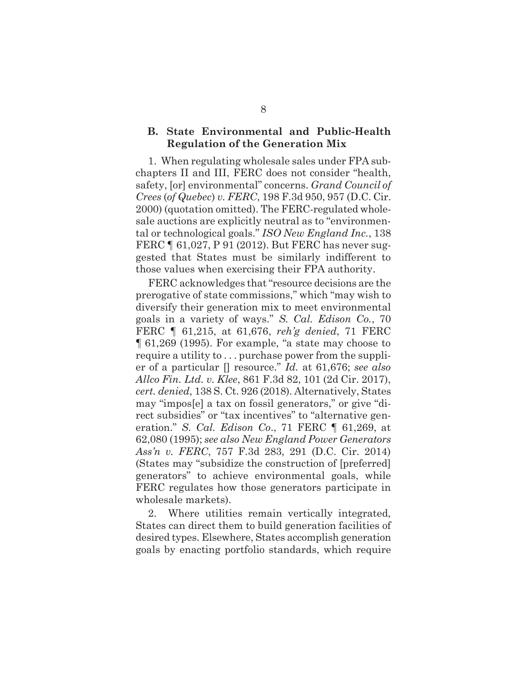### **B. State Environmental and Public-Health Regulation of the Generation Mix**

1. When regulating wholesale sales under FPA subchapters II and III, FERC does not consider "health, safety, [or] environmental" concerns. *Grand Council of Crees* (*of Quebec*) *v. FERC*, 198 F.3d 950, 957 (D.C. Cir. 2000) (quotation omitted). The FERC-regulated wholesale auctions are explicitly neutral as to "environmental or technological goals." *ISO New England Inc.*, 138 FERC ¶ 61,027, P 91 (2012). But FERC has never suggested that States must be similarly indifferent to those values when exercising their FPA authority.

FERC acknowledges that "resource decisions are the prerogative of state commissions," which "may wish to diversify their generation mix to meet environmental goals in a variety of ways." *S. Cal. Edison Co.*, 70 FERC ¶ 61,215, at 61,676, *reh'g denied*, 71 FERC ¶ 61,269 (1995). For example, "a state may choose to require a utility to . . . purchase power from the supplier of a particular [] resource." *Id.* at 61,676; *see also Allco Fin. Ltd. v. Klee*, 861 F.3d 82, 101 (2d Cir. 2017), *cert. denied*, 138 S. Ct. 926 (2018). Alternatively, States may "impos[e] a tax on fossil generators," or give "direct subsidies" or "tax incentives" to "alternative generation." *S. Cal. Edison Co*., 71 FERC ¶ 61,269, at 62,080 (1995); *see also New England Power Generators Ass'n v. FERC*, 757 F.3d 283, 291 (D.C. Cir. 2014) (States may "subsidize the construction of [preferred] generators" to achieve environmental goals, while FERC regulates how those generators participate in wholesale markets).

2. Where utilities remain vertically integrated, States can direct them to build generation facilities of desired types. Elsewhere, States accomplish generation goals by enacting portfolio standards, which require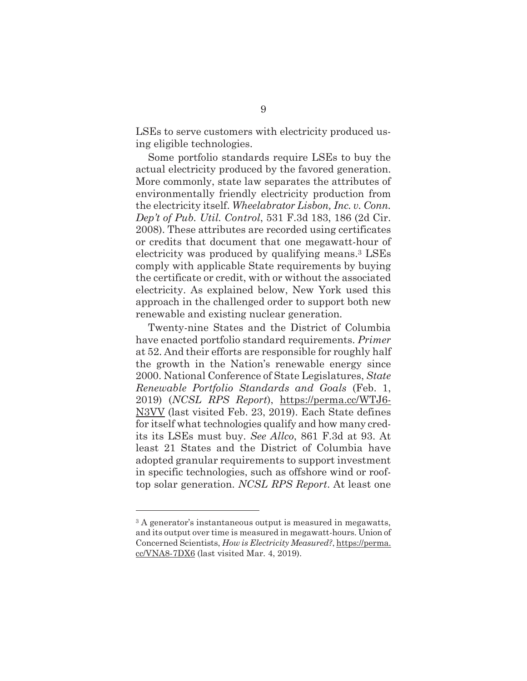LSEs to serve customers with electricity produced using eligible technologies.

Some portfolio standards require LSEs to buy the actual electricity produced by the favored generation. More commonly, state law separates the attributes of environmentally friendly electricity production from the electricity itself. *Wheelabrator Lisbon, Inc. v. Conn. Dep't of Pub. Util. Control*, 531 F.3d 183, 186 (2d Cir. 2008). These attributes are recorded using certificates or credits that document that one megawatt-hour of electricity was produced by qualifying means.3 LSEs comply with applicable State requirements by buying the certificate or credit, with or without the associated electricity. As explained below, New York used this approach in the challenged order to support both new renewable and existing nuclear generation.

Twenty-nine States and the District of Columbia have enacted portfolio standard requirements. *Primer*  at 52. And their efforts are responsible for roughly half the growth in the Nation's renewable energy since 2000. National Conference of State Legislatures, *State Renewable Portfolio Standards and Goals* (Feb. 1, 2019) (*NCSL RPS Report*), https://perma.cc/WTJ6- N3VV (last visited Feb. 23, 2019). Each State defines for itself what technologies qualify and how many credits its LSEs must buy. *See Allco*, 861 F.3d at 93. At least 21 States and the District of Columbia have adopted granular requirements to support investment in specific technologies, such as offshore wind or rooftop solar generation. *NCSL RPS Report*. At least one

<sup>3</sup> A generator's instantaneous output is measured in megawatts, and its output over time is measured in megawatt-hours. Union of Concerned Scientists, *How is Electricity Measured?*, https://perma. cc/VNA8-7DX6 (last visited Mar. 4, 2019).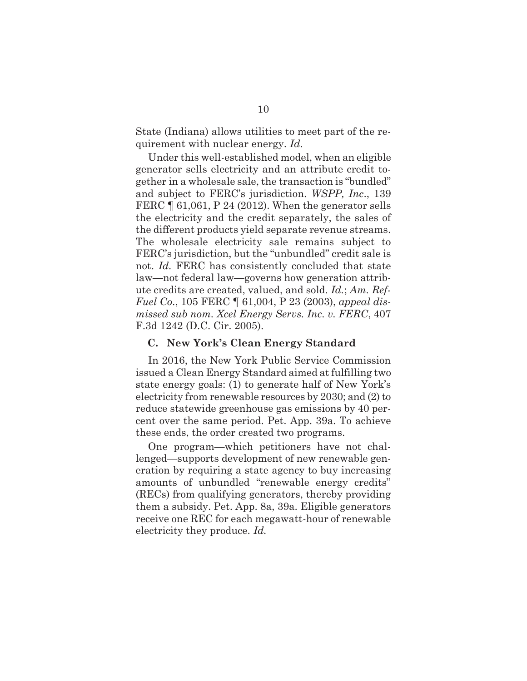State (Indiana) allows utilities to meet part of the requirement with nuclear energy. *Id.*

Under this well-established model, when an eligible generator sells electricity and an attribute credit together in a wholesale sale, the transaction is "bundled" and subject to FERC's jurisdiction. *WSPP, Inc*., 139 FERC  $\parallel$  61,061, P 24 (2012). When the generator sells the electricity and the credit separately, the sales of the different products yield separate revenue streams. The wholesale electricity sale remains subject to FERC's jurisdiction, but the "unbundled" credit sale is not. *Id.* FERC has consistently concluded that state law—not federal law—governs how generation attribute credits are created, valued, and sold. *Id.*; *Am. Ref-Fuel Co*., 105 FERC ¶ 61,004, P 23 (2003), *appeal dismissed sub nom. Xcel Energy Servs. Inc. v. FERC*, 407 F.3d 1242 (D.C. Cir. 2005).

#### **C. New York's Clean Energy Standard**

In 2016, the New York Public Service Commission issued a Clean Energy Standard aimed at fulfilling two state energy goals: (1) to generate half of New York's electricity from renewable resources by 2030; and (2) to reduce statewide greenhouse gas emissions by 40 percent over the same period. Pet. App. 39a. To achieve these ends, the order created two programs.

One program—which petitioners have not challenged—supports development of new renewable generation by requiring a state agency to buy increasing amounts of unbundled "renewable energy credits" (RECs) from qualifying generators, thereby providing them a subsidy. Pet. App. 8a, 39a. Eligible generators receive one REC for each megawatt-hour of renewable electricity they produce. *Id.*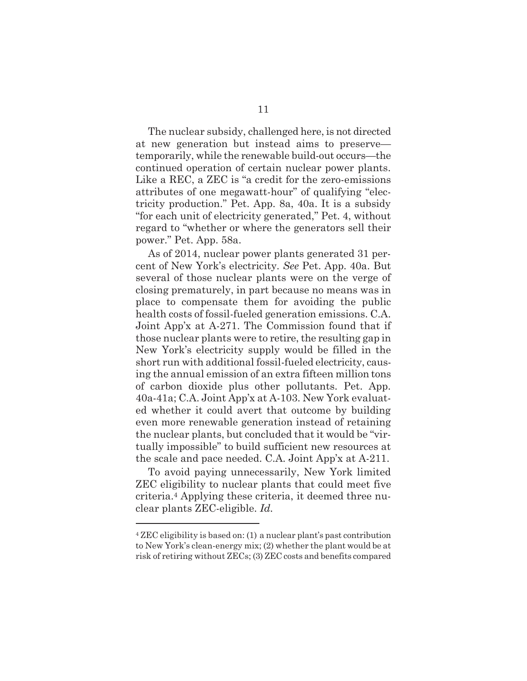The nuclear subsidy, challenged here, is not directed at new generation but instead aims to preserve temporarily, while the renewable build-out occurs—the continued operation of certain nuclear power plants. Like a REC, a ZEC is "a credit for the zero-emissions attributes of one megawatt-hour" of qualifying "electricity production." Pet. App. 8a, 40a. It is a subsidy "for each unit of electricity generated," Pet. 4, without regard to "whether or where the generators sell their power." Pet. App. 58a.

As of 2014, nuclear power plants generated 31 percent of New York's electricity. *See* Pet. App. 40a. But several of those nuclear plants were on the verge of closing prematurely, in part because no means was in place to compensate them for avoiding the public health costs of fossil-fueled generation emissions. C.A. Joint App'x at A-271. The Commission found that if those nuclear plants were to retire, the resulting gap in New York's electricity supply would be filled in the short run with additional fossil-fueled electricity, causing the annual emission of an extra fifteen million tons of carbon dioxide plus other pollutants. Pet. App. 40a-41a; C.A. Joint App'x at A-103. New York evaluated whether it could avert that outcome by building even more renewable generation instead of retaining the nuclear plants, but concluded that it would be "virtually impossible" to build sufficient new resources at the scale and pace needed. C.A. Joint App'x at A-211.

To avoid paying unnecessarily, New York limited ZEC eligibility to nuclear plants that could meet five criteria.4 Applying these criteria, it deemed three nuclear plants ZEC-eligible. *Id.*

<sup>4</sup> ZEC eligibility is based on: (1) a nuclear plant's past contribution to New York's clean-energy mix; (2) whether the plant would be at risk of retiring without ZECs; (3) ZEC costs and benefits compared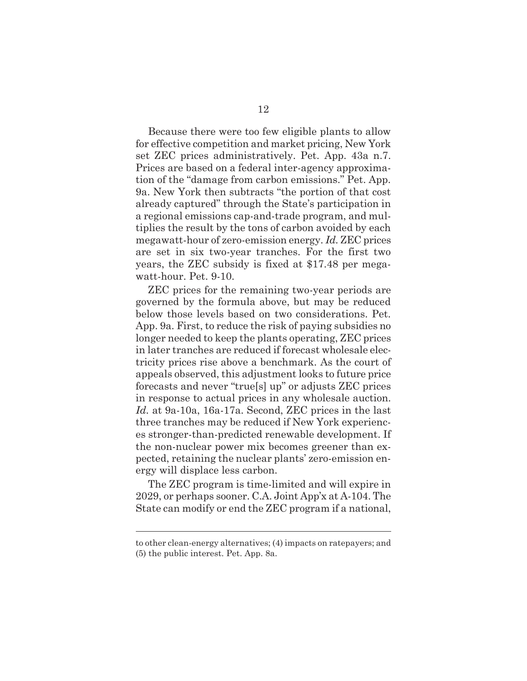Because there were too few eligible plants to allow for effective competition and market pricing, New York set ZEC prices administratively. Pet. App. 43a n.7. Prices are based on a federal inter-agency approximation of the "damage from carbon emissions." Pet. App. 9a. New York then subtracts "the portion of that cost already captured" through the State's participation in a regional emissions cap-and-trade program, and multiplies the result by the tons of carbon avoided by each megawatt-hour of zero-emission energy. *Id.* ZEC prices are set in six two-year tranches. For the first two years, the ZEC subsidy is fixed at \$17.48 per megawatt-hour. Pet. 9-10.

ZEC prices for the remaining two-year periods are governed by the formula above, but may be reduced below those levels based on two considerations. Pet. App. 9a. First, to reduce the risk of paying subsidies no longer needed to keep the plants operating, ZEC prices in later tranches are reduced if forecast wholesale electricity prices rise above a benchmark. As the court of appeals observed, this adjustment looks to future price forecasts and never "true[s] up" or adjusts ZEC prices in response to actual prices in any wholesale auction. *Id.* at 9a-10a, 16a-17a. Second, ZEC prices in the last three tranches may be reduced if New York experiences stronger-than-predicted renewable development. If the non-nuclear power mix becomes greener than expected, retaining the nuclear plants' zero-emission energy will displace less carbon.

The ZEC program is time-limited and will expire in 2029, or perhaps sooner. C.A. Joint App'x at A-104. The State can modify or end the ZEC program if a national,

to other clean-energy alternatives; (4) impacts on ratepayers; and (5) the public interest. Pet. App. 8a.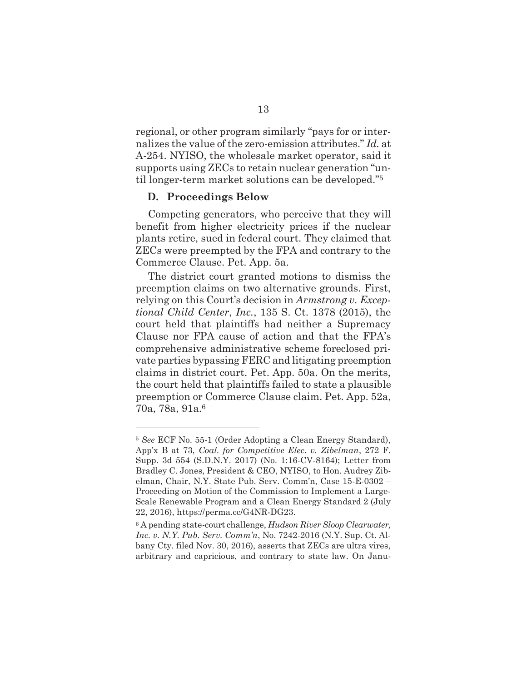regional, or other program similarly "pays for or internalizes the value of the zero-emission attributes." *Id.* at A-254. NYISO, the wholesale market operator, said it supports using ZECs to retain nuclear generation "until longer-term market solutions can be developed."5

#### **D. Proceedings Below**

l

Competing generators, who perceive that they will benefit from higher electricity prices if the nuclear plants retire, sued in federal court. They claimed that ZECs were preempted by the FPA and contrary to the Commerce Clause. Pet. App. 5a.

The district court granted motions to dismiss the preemption claims on two alternative grounds. First, relying on this Court's decision in *Armstrong v. Exceptional Child Center*, *Inc.*, 135 S. Ct. 1378 (2015), the court held that plaintiffs had neither a Supremacy Clause nor FPA cause of action and that the FPA's comprehensive administrative scheme foreclosed private parties bypassing FERC and litigating preemption claims in district court. Pet. App. 50a. On the merits, the court held that plaintiffs failed to state a plausible preemption or Commerce Clause claim. Pet. App. 52a, 70a, 78a, 91a.6

<sup>5</sup> *See* ECF No. 55-1 (Order Adopting a Clean Energy Standard), App'x B at 73, *Coal. for Competitive Elec. v. Zibelman*, 272 F. Supp. 3d 554 (S.D.N.Y. 2017) (No. 1:16-CV-8164); Letter from Bradley C. Jones, President & CEO, NYISO, to Hon. Audrey Zibelman, Chair, N.Y. State Pub. Serv. Comm'n, Case 15-E-0302 – Proceeding on Motion of the Commission to Implement a Large-Scale Renewable Program and a Clean Energy Standard 2 (July 22, 2016), https://perma.cc/G4NR-DG23.

<sup>6</sup> A pending state-court challenge, *Hudson River Sloop Clearwater, Inc. v. N.Y. Pub. Serv. Comm'n*, No. 7242-2016 (N.Y. Sup. Ct. Albany Cty. filed Nov. 30, 2016), asserts that ZECs are ultra vires, arbitrary and capricious, and contrary to state law. On Janu-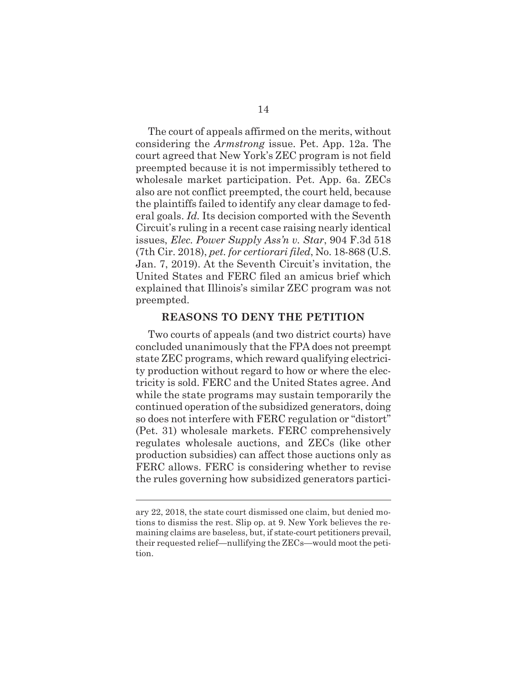The court of appeals affirmed on the merits, without considering the *Armstrong* issue. Pet. App. 12a. The court agreed that New York's ZEC program is not field preempted because it is not impermissibly tethered to wholesale market participation. Pet. App. 6a. ZECs also are not conflict preempted, the court held, because the plaintiffs failed to identify any clear damage to federal goals. *Id.* Its decision comported with the Seventh Circuit's ruling in a recent case raising nearly identical issues, *Elec. Power Supply Ass'n v. Star*, 904 F.3d 518 (7th Cir. 2018), *pet. for certiorari filed*, No. 18-868 (U.S. Jan. 7, 2019). At the Seventh Circuit's invitation, the United States and FERC filed an amicus brief which explained that Illinois's similar ZEC program was not preempted.

### **REASONS TO DENY THE PETITION**

Two courts of appeals (and two district courts) have concluded unanimously that the FPA does not preempt state ZEC programs, which reward qualifying electricity production without regard to how or where the electricity is sold. FERC and the United States agree. And while the state programs may sustain temporarily the continued operation of the subsidized generators, doing so does not interfere with FERC regulation or "distort" (Pet. 31) wholesale markets. FERC comprehensively regulates wholesale auctions, and ZECs (like other production subsidies) can affect those auctions only as FERC allows. FERC is considering whether to revise the rules governing how subsidized generators partici-

ary 22, 2018, the state court dismissed one claim, but denied motions to dismiss the rest. Slip op. at 9. New York believes the remaining claims are baseless, but, if state-court petitioners prevail, their requested relief—nullifying the ZECs—would moot the petition.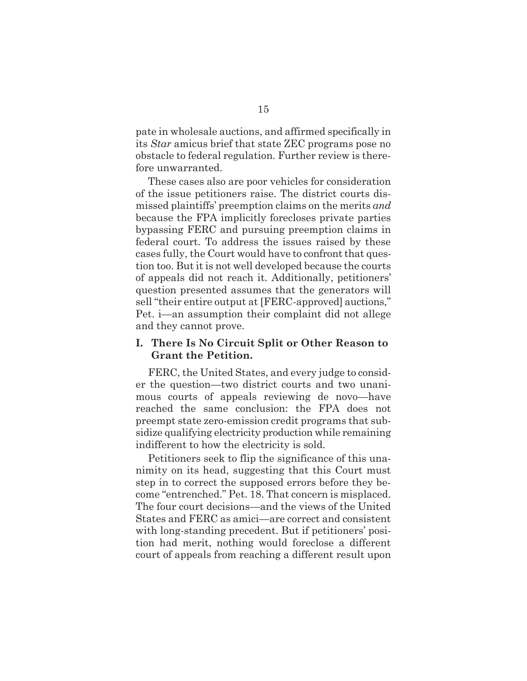pate in wholesale auctions, and affirmed specifically in its *Star* amicus brief that state ZEC programs pose no obstacle to federal regulation. Further review is therefore unwarranted.

These cases also are poor vehicles for consideration of the issue petitioners raise. The district courts dismissed plaintiffs' preemption claims on the merits *and* because the FPA implicitly forecloses private parties bypassing FERC and pursuing preemption claims in federal court. To address the issues raised by these cases fully, the Court would have to confront that question too. But it is not well developed because the courts of appeals did not reach it. Additionally, petitioners' question presented assumes that the generators will sell "their entire output at [FERC-approved] auctions," Pet. i—an assumption their complaint did not allege and they cannot prove.

### **I. There Is No Circuit Split or Other Reason to Grant the Petition.**

FERC, the United States, and every judge to consider the question—two district courts and two unanimous courts of appeals reviewing de novo—have reached the same conclusion: the FPA does not preempt state zero-emission credit programs that subsidize qualifying electricity production while remaining indifferent to how the electricity is sold.

Petitioners seek to flip the significance of this unanimity on its head, suggesting that this Court must step in to correct the supposed errors before they become "entrenched." Pet. 18. That concern is misplaced. The four court decisions—and the views of the United States and FERC as amici—are correct and consistent with long-standing precedent. But if petitioners' position had merit, nothing would foreclose a different court of appeals from reaching a different result upon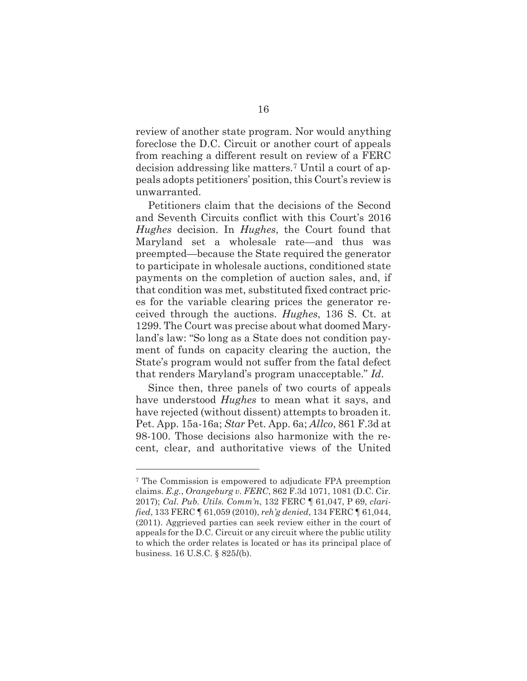review of another state program. Nor would anything foreclose the D.C. Circuit or another court of appeals from reaching a different result on review of a FERC decision addressing like matters.7 Until a court of appeals adopts petitioners' position, this Court's review is unwarranted.

Petitioners claim that the decisions of the Second and Seventh Circuits conflict with this Court's 2016 *Hughes* decision. In *Hughes*, the Court found that Maryland set a wholesale rate—and thus was preempted—because the State required the generator to participate in wholesale auctions, conditioned state payments on the completion of auction sales, and, if that condition was met, substituted fixed contract prices for the variable clearing prices the generator received through the auctions. *Hughes*, 136 S. Ct. at 1299. The Court was precise about what doomed Maryland's law: "So long as a State does not condition payment of funds on capacity clearing the auction, the State's program would not suffer from the fatal defect that renders Maryland's program unacceptable." *Id*.

Since then, three panels of two courts of appeals have understood *Hughes* to mean what it says, and have rejected (without dissent) attempts to broaden it. Pet. App. 15a-16a; *Star* Pet. App. 6a; *Allco*, 861 F.3d at 98-100. Those decisions also harmonize with the recent, clear, and authoritative views of the United

<sup>7</sup> The Commission is empowered to adjudicate FPA preemption claims. *E.g.*, *Orangeburg v. FERC*, 862 F.3d 1071, 1081 (D.C. Cir. 2017); *Cal. Pub. Utils. Comm'n*, 132 FERC ¶ 61,047, P 69, *clarified*, 133 FERC ¶ 61,059 (2010), *reh'g denied*, 134 FERC ¶ 61,044, (2011). Aggrieved parties can seek review either in the court of appeals for the D.C. Circuit or any circuit where the public utility to which the order relates is located or has its principal place of business. 16 U.S.C. § 825*l*(b).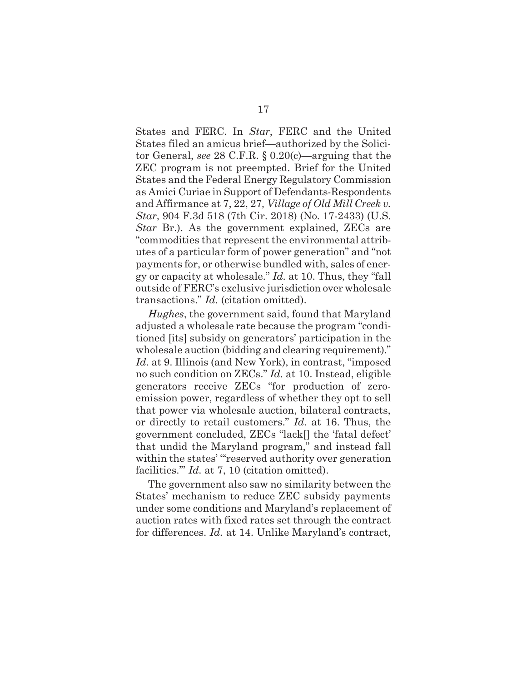States and FERC. In *Star*, FERC and the United States filed an amicus brief—authorized by the Solicitor General, *see* 28 C.F.R. § 0.20(c)—arguing that the ZEC program is not preempted. Brief for the United States and the Federal Energy Regulatory Commission as Amici Curiae in Support of Defendants-Respondents and Affirmance at 7, 22, 27*, Village of Old Mill Creek v. Star*, 904 F.3d 518 (7th Cir. 2018) (No. 17-2433) (U.S. *Star Br.*). As the government explained, ZECs are "commodities that represent the environmental attributes of a particular form of power generation" and "not payments for, or otherwise bundled with, sales of energy or capacity at wholesale." *Id.* at 10. Thus, they "fall outside of FERC's exclusive jurisdiction over wholesale transactions." *Id.* (citation omitted).

*Hughes*, the government said, found that Maryland adjusted a wholesale rate because the program "conditioned [its] subsidy on generators' participation in the wholesale auction (bidding and clearing requirement)." *Id.* at 9. Illinois (and New York), in contrast, "imposed no such condition on ZECs." *Id.* at 10. Instead, eligible generators receive ZECs "for production of zeroemission power, regardless of whether they opt to sell that power via wholesale auction, bilateral contracts, or directly to retail customers." *Id.* at 16. Thus, the government concluded, ZECs "lack[] the 'fatal defect' that undid the Maryland program," and instead fall within the states' "reserved authority over generation facilities." *Id.* at 7, 10 (citation omitted).

The government also saw no similarity between the States' mechanism to reduce ZEC subsidy payments under some conditions and Maryland's replacement of auction rates with fixed rates set through the contract for differences. *Id.* at 14. Unlike Maryland's contract,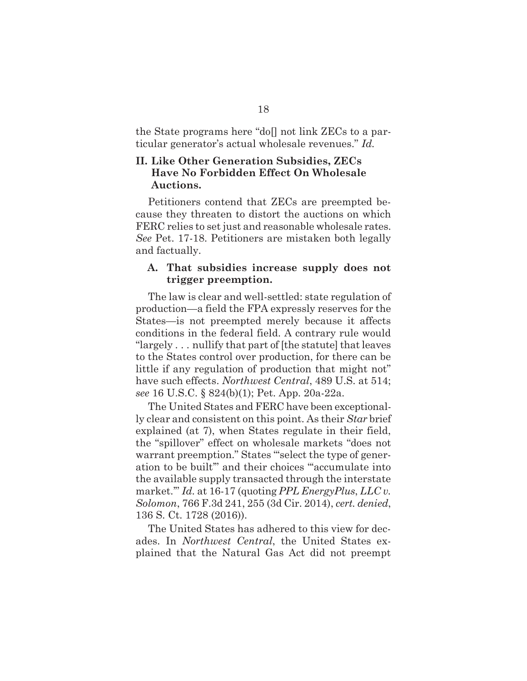the State programs here "do[] not link ZECs to a particular generator's actual wholesale revenues." *Id.*

## **II. Like Other Generation Subsidies, ZECs Have No Forbidden Effect On Wholesale Auctions.**

Petitioners contend that ZECs are preempted because they threaten to distort the auctions on which FERC relies to set just and reasonable wholesale rates. *See* Pet. 17-18. Petitioners are mistaken both legally and factually.

### **A. That subsidies increase supply does not trigger preemption.**

The law is clear and well-settled: state regulation of production—a field the FPA expressly reserves for the States—is not preempted merely because it affects conditions in the federal field. A contrary rule would "largely . . . nullify that part of [the statute] that leaves to the States control over production, for there can be little if any regulation of production that might not" have such effects. *Northwest Central*, 489 U.S. at 514; *see* 16 U.S.C. § 824(b)(1); Pet. App. 20a-22a.

The United States and FERC have been exceptionally clear and consistent on this point. As their *Star* brief explained (at 7), when States regulate in their field, the "spillover" effect on wholesale markets "does not warrant preemption." States "select the type of generation to be built'" and their choices "'accumulate into the available supply transacted through the interstate market.'" *Id.* at 16-17 (quoting *PPL EnergyPlus*, *LLC v. Solomon*, 766 F.3d 241, 255 (3d Cir. 2014), *cert. denied*, 136 S. Ct. 1728 (2016)).

The United States has adhered to this view for decades. In *Northwest Central*, the United States explained that the Natural Gas Act did not preempt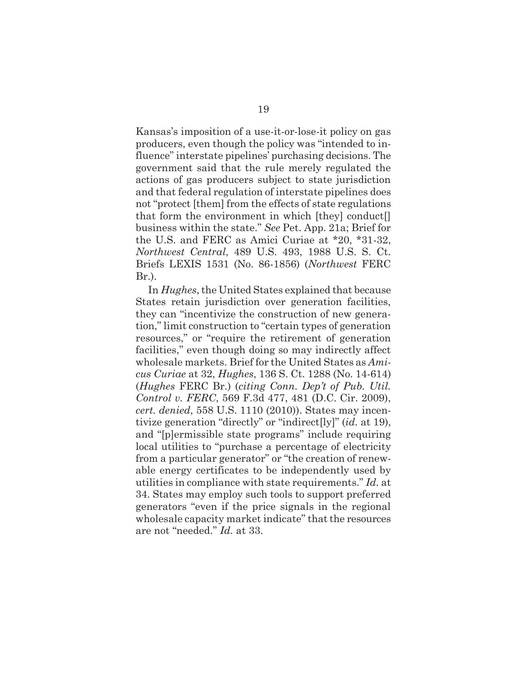Kansas's imposition of a use-it-or-lose-it policy on gas producers, even though the policy was "intended to influence" interstate pipelines' purchasing decisions. The government said that the rule merely regulated the actions of gas producers subject to state jurisdiction and that federal regulation of interstate pipelines does not "protect [them] from the effects of state regulations that form the environment in which [they] conduct[] business within the state." *See* Pet. App. 21a; Brief for the U.S. and FERC as Amici Curiae at \*20, \*31-32, *Northwest Central*, 489 U.S. 493, 1988 U.S. S. Ct. Briefs LEXIS 1531 (No. 86-1856) (*Northwest* FERC Br.).

In *Hughes*, the United States explained that because States retain jurisdiction over generation facilities, they can "incentivize the construction of new generation," limit construction to "certain types of generation resources," or "require the retirement of generation facilities," even though doing so may indirectly affect wholesale markets. Brief for the United States as *Amicus Curiae* at 32, *Hughes*, 136 S. Ct. 1288 (No. 14-614) (*Hughes* FERC Br.) (*citing Conn. Dep't of Pub. Util. Control v. FERC*, 569 F.3d 477, 481 (D.C. Cir. 2009), *cert. denied*, 558 U.S. 1110 (2010)). States may incentivize generation "directly" or "indirect[ly]" (*id.* at 19), and "[p]ermissible state programs" include requiring local utilities to "purchase a percentage of electricity from a particular generator" or "the creation of renewable energy certificates to be independently used by utilities in compliance with state requirements." *Id.* at 34. States may employ such tools to support preferred generators "even if the price signals in the regional wholesale capacity market indicate" that the resources are not "needed." *Id.* at 33.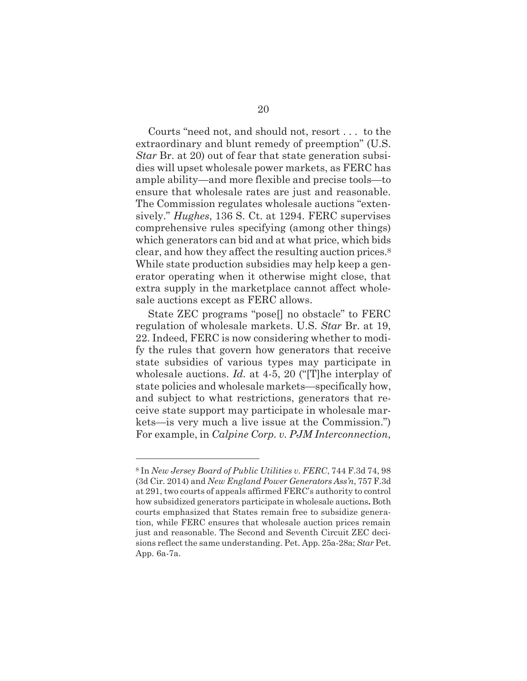Courts "need not, and should not, resort . . . to the extraordinary and blunt remedy of preemption" (U.S. *Star* Br. at 20) out of fear that state generation subsidies will upset wholesale power markets, as FERC has ample ability—and more flexible and precise tools—to ensure that wholesale rates are just and reasonable. The Commission regulates wholesale auctions "extensively." *Hughes*, 136 S. Ct. at 1294. FERC supervises comprehensive rules specifying (among other things) which generators can bid and at what price, which bids clear, and how they affect the resulting auction prices.8 While state production subsidies may help keep a generator operating when it otherwise might close, that extra supply in the marketplace cannot affect wholesale auctions except as FERC allows.

State ZEC programs "pose[] no obstacle" to FERC regulation of wholesale markets. U.S. *Star* Br. at 19, 22. Indeed, FERC is now considering whether to modify the rules that govern how generators that receive state subsidies of various types may participate in wholesale auctions. *Id.* at 4-5, 20 ("[T]he interplay of state policies and wholesale markets—specifically how, and subject to what restrictions, generators that receive state support may participate in wholesale markets—is very much a live issue at the Commission.") For example, in *Calpine Corp. v. PJM Interconnection*,

<sup>8</sup> In *New Jersey Board of Public Utilities v. FERC*, 744 F.3d 74, 98 (3d Cir. 2014) and *New England Power Generators Ass'n*, 757 F.3d at 291, two courts of appeals affirmed FERC's authority to control how subsidized generators participate in wholesale auctions**.** Both courts emphasized that States remain free to subsidize generation, while FERC ensures that wholesale auction prices remain just and reasonable. The Second and Seventh Circuit ZEC decisions reflect the same understanding. Pet. App. 25a-28a; *Star* Pet. App. 6a-7a.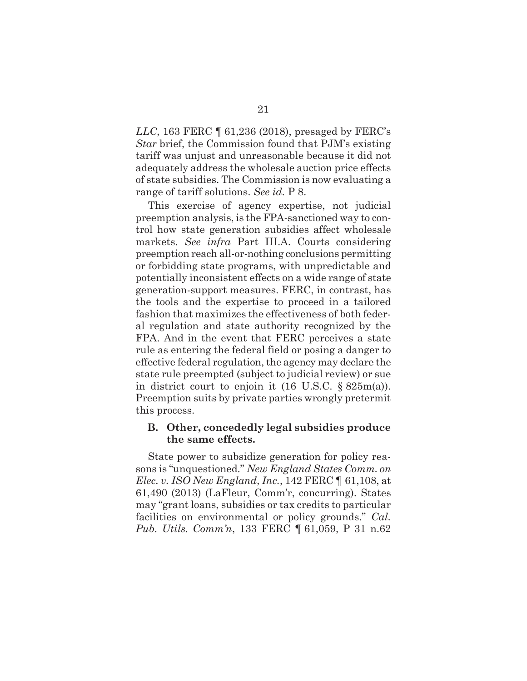*LLC*, 163 FERC ¶ 61,236 (2018), presaged by FERC's *Star* brief, the Commission found that PJM's existing tariff was unjust and unreasonable because it did not adequately address the wholesale auction price effects of state subsidies. The Commission is now evaluating a range of tariff solutions. *See id.* P 8.

This exercise of agency expertise, not judicial preemption analysis, is the FPA-sanctioned way to control how state generation subsidies affect wholesale markets. *See infra* Part III.A. Courts considering preemption reach all-or-nothing conclusions permitting or forbidding state programs, with unpredictable and potentially inconsistent effects on a wide range of state generation-support measures. FERC, in contrast, has the tools and the expertise to proceed in a tailored fashion that maximizes the effectiveness of both federal regulation and state authority recognized by the FPA. And in the event that FERC perceives a state rule as entering the federal field or posing a danger to effective federal regulation, the agency may declare the state rule preempted (subject to judicial review) or sue in district court to enjoin it (16 U.S.C. § 825m(a)). Preemption suits by private parties wrongly pretermit this process.

### **B. Other, concededly legal subsidies produce the same effects.**

State power to subsidize generation for policy reasons is "unquestioned." *New England States Comm. on Elec. v. ISO New England*, *Inc.*, 142 FERC ¶ 61,108, at 61,490 (2013) (LaFleur, Comm'r, concurring). States may "grant loans, subsidies or tax credits to particular facilities on environmental or policy grounds." *Cal. Pub. Utils. Comm'n*, 133 FERC ¶ 61,059, P 31 n.62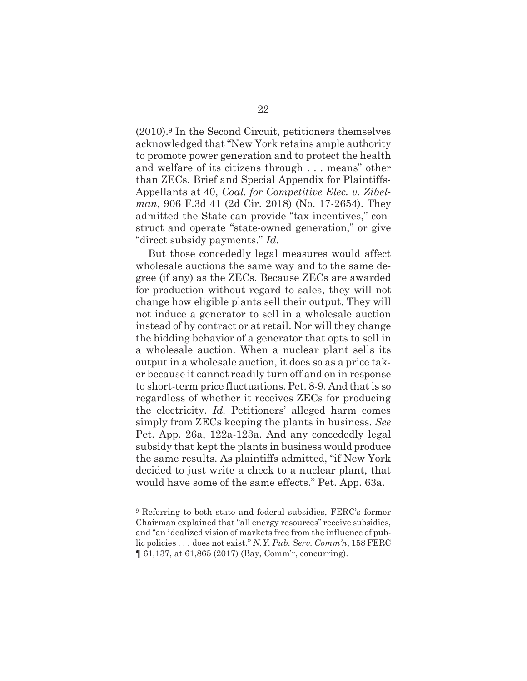(2010).9 In the Second Circuit, petitioners themselves acknowledged that "New York retains ample authority to promote power generation and to protect the health and welfare of its citizens through . . . means" other than ZECs. Brief and Special Appendix for Plaintiffs-Appellants at 40, *Coal. for Competitive Elec. v. Zibelman*, 906 F.3d 41 (2d Cir. 2018) (No. 17-2654). They admitted the State can provide "tax incentives," construct and operate "state-owned generation," or give "direct subsidy payments." *Id.*

But those concededly legal measures would affect wholesale auctions the same way and to the same degree (if any) as the ZECs. Because ZECs are awarded for production without regard to sales, they will not change how eligible plants sell their output. They will not induce a generator to sell in a wholesale auction instead of by contract or at retail. Nor will they change the bidding behavior of a generator that opts to sell in a wholesale auction. When a nuclear plant sells its output in a wholesale auction, it does so as a price taker because it cannot readily turn off and on in response to short-term price fluctuations. Pet. 8-9. And that is so regardless of whether it receives ZECs for producing the electricity. *Id.* Petitioners' alleged harm comes simply from ZECs keeping the plants in business. *See*  Pet. App. 26a, 122a-123a. And any concededly legal subsidy that kept the plants in business would produce the same results. As plaintiffs admitted, "if New York decided to just write a check to a nuclear plant, that would have some of the same effects." Pet. App. 63a.

<sup>9</sup> Referring to both state and federal subsidies, FERC's former Chairman explained that "all energy resources" receive subsidies, and "an idealized vision of markets free from the influence of public policies . . . does not exist." *N.Y. Pub. Serv. Comm'n*, 158 FERC ¶ 61,137, at 61,865 (2017) (Bay, Comm'r, concurring).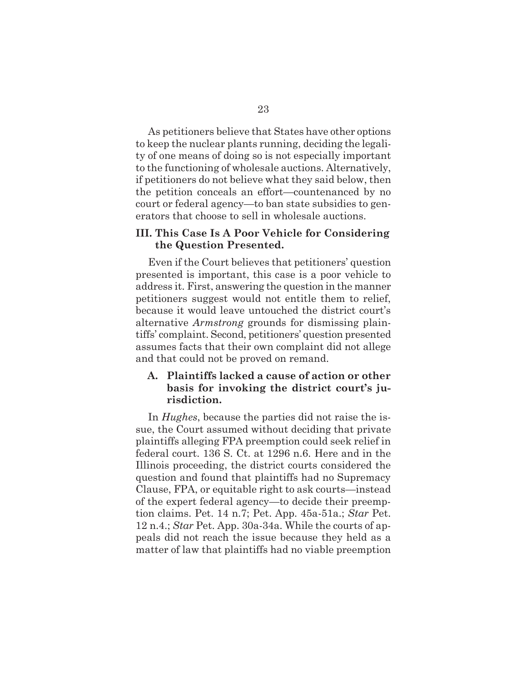As petitioners believe that States have other options to keep the nuclear plants running, deciding the legality of one means of doing so is not especially important to the functioning of wholesale auctions. Alternatively, if petitioners do not believe what they said below, then the petition conceals an effort—countenanced by no court or federal agency—to ban state subsidies to generators that choose to sell in wholesale auctions.

### **III. This Case Is A Poor Vehicle for Considering the Question Presented.**

Even if the Court believes that petitioners' question presented is important, this case is a poor vehicle to address it. First, answering the question in the manner petitioners suggest would not entitle them to relief, because it would leave untouched the district court's alternative *Armstrong* grounds for dismissing plaintiffs' complaint. Second, petitioners' question presented assumes facts that their own complaint did not allege and that could not be proved on remand.

## **A. Plaintiffs lacked a cause of action or other basis for invoking the district court's jurisdiction.**

In *Hughes*, because the parties did not raise the issue, the Court assumed without deciding that private plaintiffs alleging FPA preemption could seek relief in federal court. 136 S. Ct. at 1296 n.6. Here and in the Illinois proceeding, the district courts considered the question and found that plaintiffs had no Supremacy Clause, FPA, or equitable right to ask courts—instead of the expert federal agency—to decide their preemption claims. Pet. 14 n.7; Pet. App. 45a-51a.; *Star* Pet. 12 n.4.; *Star* Pet. App. 30a-34a. While the courts of appeals did not reach the issue because they held as a matter of law that plaintiffs had no viable preemption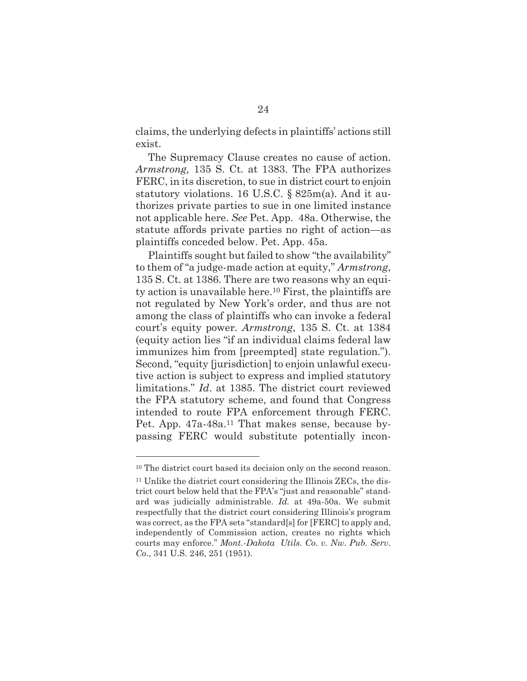claims, the underlying defects in plaintiffs' actions still exist.

The Supremacy Clause creates no cause of action. *Armstrong,* 135 S. Ct. at 1383. The FPA authorizes FERC, in its discretion, to sue in district court to enjoin statutory violations. 16 U.S.C. § 825m(a). And it authorizes private parties to sue in one limited instance not applicable here. *See* Pet. App. 48a. Otherwise, the statute affords private parties no right of action—as plaintiffs conceded below. Pet. App. 45a.

Plaintiffs sought but failed to show "the availability" to them of "a judge-made action at equity," *Armstrong*, 135 S. Ct. at 1386. There are two reasons why an equity action is unavailable here.10 First, the plaintiffs are not regulated by New York's order, and thus are not among the class of plaintiffs who can invoke a federal court's equity power. *Armstrong*, 135 S. Ct. at 1384 (equity action lies "if an individual claims federal law immunizes him from [preempted] state regulation."). Second, "equity [jurisdiction] to enjoin unlawful executive action is subject to express and implied statutory limitations." *Id*. at 1385. The district court reviewed the FPA statutory scheme, and found that Congress intended to route FPA enforcement through FERC. Pet. App. 47a-48a.<sup>11</sup> That makes sense, because bypassing FERC would substitute potentially incon-

<sup>&</sup>lt;sup>10</sup> The district court based its decision only on the second reason.

<sup>11</sup> Unlike the district court considering the Illinois ZECs, the district court below held that the FPA's "just and reasonable" standard was judicially administrable. *Id.* at 49a-50a. We submit respectfully that the district court considering Illinois's program was correct, as the FPA sets "standard[s] for [FERC] to apply and, independently of Commission action, creates no rights which courts may enforce." *Mont.-Dakota Utils. Co. v. Nw. Pub. Serv. Co*., 341 U.S. 246, 251 (1951).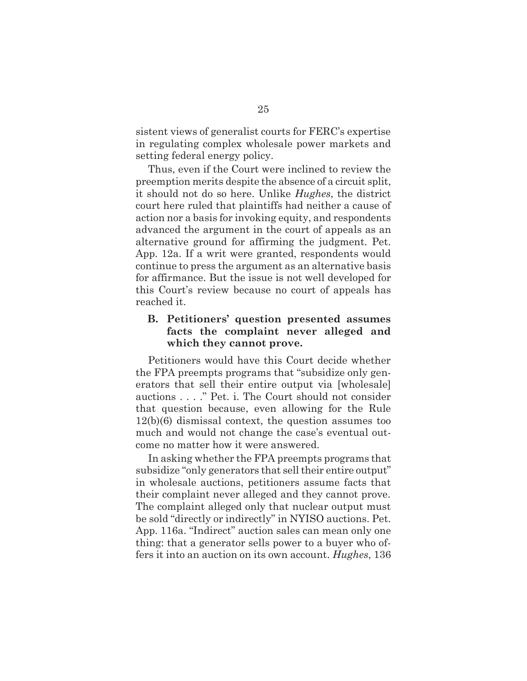sistent views of generalist courts for FERC's expertise in regulating complex wholesale power markets and setting federal energy policy.

Thus, even if the Court were inclined to review the preemption merits despite the absence of a circuit split, it should not do so here. Unlike *Hughes*, the district court here ruled that plaintiffs had neither a cause of action nor a basis for invoking equity, and respondents advanced the argument in the court of appeals as an alternative ground for affirming the judgment. Pet. App. 12a. If a writ were granted, respondents would continue to press the argument as an alternative basis for affirmance. But the issue is not well developed for this Court's review because no court of appeals has reached it.

## **B. Petitioners' question presented assumes facts the complaint never alleged and which they cannot prove.**

Petitioners would have this Court decide whether the FPA preempts programs that "subsidize only generators that sell their entire output via [wholesale] auctions . . . ." Pet. i. The Court should not consider that question because, even allowing for the Rule 12(b)(6) dismissal context, the question assumes too much and would not change the case's eventual outcome no matter how it were answered.

In asking whether the FPA preempts programs that subsidize "only generators that sell their entire output" in wholesale auctions, petitioners assume facts that their complaint never alleged and they cannot prove. The complaint alleged only that nuclear output must be sold "directly or indirectly" in NYISO auctions. Pet. App. 116a. "Indirect" auction sales can mean only one thing: that a generator sells power to a buyer who offers it into an auction on its own account. *Hughes*, 136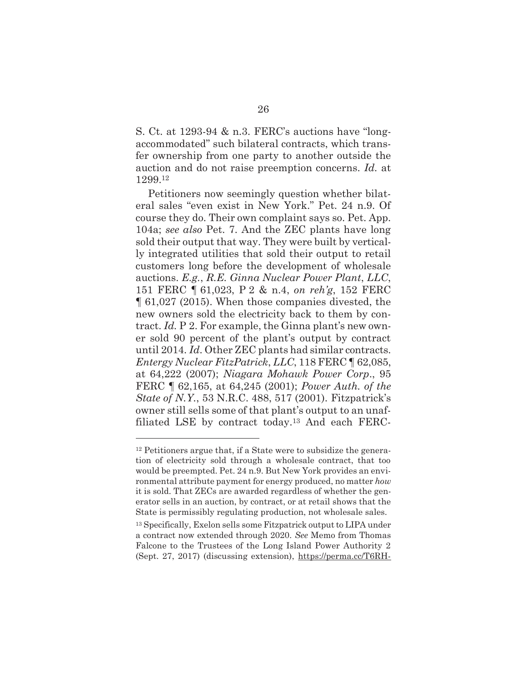S. Ct. at 1293-94 & n.3. FERC's auctions have "longaccommodated" such bilateral contracts, which transfer ownership from one party to another outside the auction and do not raise preemption concerns. *Id.* at 1299.12

Petitioners now seemingly question whether bilateral sales "even exist in New York." Pet. 24 n.9. Of course they do. Their own complaint says so. Pet. App. 104a; *see also* Pet. 7. And the ZEC plants have long sold their output that way. They were built by vertically integrated utilities that sold their output to retail customers long before the development of wholesale auctions. *E.g.*, *R.E. Ginna Nuclear Power Plant*, *LLC*, 151 FERC ¶ 61,023, P 2 & n.4, *on reh'g*, 152 FERC ¶ 61,027 (2015). When those companies divested, the new owners sold the electricity back to them by contract. *Id.* P 2. For example, the Ginna plant's new owner sold 90 percent of the plant's output by contract until 2014. *Id*. Other ZEC plants had similar contracts. *Entergy Nuclear FitzPatrick*, *LLC*, 118 FERC ¶ 62,085, at 64,222 (2007); *Niagara Mohawk Power Corp*., 95 FERC ¶ 62,165, at 64,245 (2001); *Power Auth. of the State of N.Y.*, 53 N.R.C. 488, 517 (2001). Fitzpatrick's owner still sells some of that plant's output to an unaffiliated LSE by contract today.13 And each FERC-

<sup>12</sup> Petitioners argue that, if a State were to subsidize the generation of electricity sold through a wholesale contract, that too would be preempted. Pet. 24 n.9. But New York provides an environmental attribute payment for energy produced, no matter *how* it is sold. That ZECs are awarded regardless of whether the generator sells in an auction, by contract, or at retail shows that the State is permissibly regulating production, not wholesale sales.

<sup>13</sup> Specifically, Exelon sells some Fitzpatrick output to LIPA under a contract now extended through 2020. *See* Memo from Thomas Falcone to the Trustees of the Long Island Power Authority 2 (Sept. 27, 2017) (discussing extension), https://perma.cc/T6RH-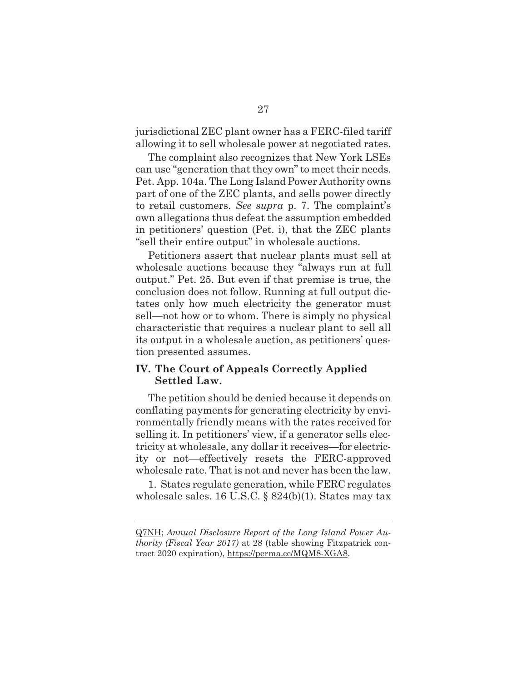jurisdictional ZEC plant owner has a FERC-filed tariff allowing it to sell wholesale power at negotiated rates.

The complaint also recognizes that New York LSEs can use "generation that they own" to meet their needs. Pet. App. 104a. The Long Island Power Authority owns part of one of the ZEC plants, and sells power directly to retail customers. *See supra* p. 7. The complaint's own allegations thus defeat the assumption embedded in petitioners' question (Pet. i), that the ZEC plants "sell their entire output" in wholesale auctions.

Petitioners assert that nuclear plants must sell at wholesale auctions because they "always run at full output." Pet. 25. But even if that premise is true, the conclusion does not follow. Running at full output dictates only how much electricity the generator must sell—not how or to whom. There is simply no physical characteristic that requires a nuclear plant to sell all its output in a wholesale auction, as petitioners' question presented assumes.

### **IV. The Court of Appeals Correctly Applied Settled Law.**

The petition should be denied because it depends on conflating payments for generating electricity by environmentally friendly means with the rates received for selling it. In petitioners' view, if a generator sells electricity at wholesale, any dollar it receives—for electricity or not—effectively resets the FERC-approved wholesale rate. That is not and never has been the law.

1. States regulate generation, while FERC regulates wholesale sales. 16 U.S.C. § 824(b)(1). States may tax

Q7NH; *Annual Disclosure Report of the Long Island Power Authority (Fiscal Year 2017)* at 28 (table showing Fitzpatrick contract 2020 expiration), https://perma.cc/MQM8-XGA8.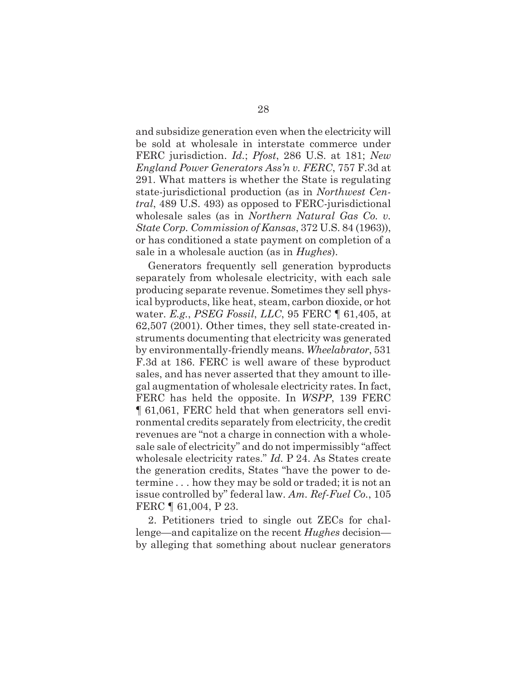and subsidize generation even when the electricity will be sold at wholesale in interstate commerce under FERC jurisdiction. *Id.*; *Pfost*, 286 U.S. at 181; *New England Power Generators Ass'n v. FERC*, 757 F.3d at 291. What matters is whether the State is regulating state-jurisdictional production (as in *Northwest Central*, 489 U.S. 493) as opposed to FERC-jurisdictional wholesale sales (as in *Northern Natural Gas Co. v. State Corp. Commission of Kansas*, 372 U.S. 84 (1963)), or has conditioned a state payment on completion of a sale in a wholesale auction (as in *Hughes*).

Generators frequently sell generation byproducts separately from wholesale electricity, with each sale producing separate revenue. Sometimes they sell physical byproducts, like heat, steam, carbon dioxide, or hot water. *E.g.*, *PSEG Fossil*, *LLC*, 95 FERC ¶ 61,405, at 62,507 (2001). Other times, they sell state-created instruments documenting that electricity was generated by environmentally-friendly means. *Wheelabrator*, 531 F.3d at 186. FERC is well aware of these byproduct sales, and has never asserted that they amount to illegal augmentation of wholesale electricity rates. In fact, FERC has held the opposite. In *WSPP*, 139 FERC ¶ 61,061, FERC held that when generators sell environmental credits separately from electricity, the credit revenues are "not a charge in connection with a wholesale sale of electricity" and do not impermissibly "affect wholesale electricity rates." *Id.* P 24. As States create the generation credits, States "have the power to determine . . . how they may be sold or traded; it is not an issue controlled by" federal law. *Am. Ref-Fuel Co.*, 105 FERC ¶ 61,004, P 23.

2. Petitioners tried to single out ZECs for challenge—and capitalize on the recent *Hughes* decision by alleging that something about nuclear generators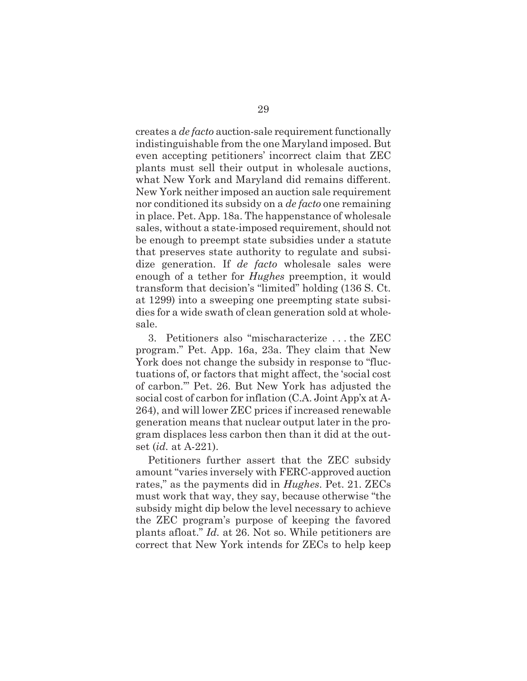creates a *de facto* auction-sale requirement functionally indistinguishable from the one Maryland imposed. But even accepting petitioners' incorrect claim that ZEC plants must sell their output in wholesale auctions, what New York and Maryland did remains different. New York neither imposed an auction sale requirement nor conditioned its subsidy on a *de facto* one remaining in place. Pet. App. 18a. The happenstance of wholesale sales, without a state-imposed requirement, should not be enough to preempt state subsidies under a statute that preserves state authority to regulate and subsidize generation. If *de facto* wholesale sales were enough of a tether for *Hughes* preemption, it would transform that decision's "limited" holding (136 S. Ct. at 1299) into a sweeping one preempting state subsidies for a wide swath of clean generation sold at wholesale.

3. Petitioners also "mischaracterize . . . the ZEC program." Pet. App. 16a, 23a. They claim that New York does not change the subsidy in response to "fluctuations of, or factors that might affect, the 'social cost of carbon.'" Pet. 26. But New York has adjusted the social cost of carbon for inflation (C.A. Joint App'x at A-264), and will lower ZEC prices if increased renewable generation means that nuclear output later in the program displaces less carbon then than it did at the outset (*id.* at A-221).

Petitioners further assert that the ZEC subsidy amount "varies inversely with FERC-approved auction rates," as the payments did in *Hughes*. Pet. 21. ZECs must work that way, they say, because otherwise "the subsidy might dip below the level necessary to achieve the ZEC program's purpose of keeping the favored plants afloat." *Id.* at 26. Not so. While petitioners are correct that New York intends for ZECs to help keep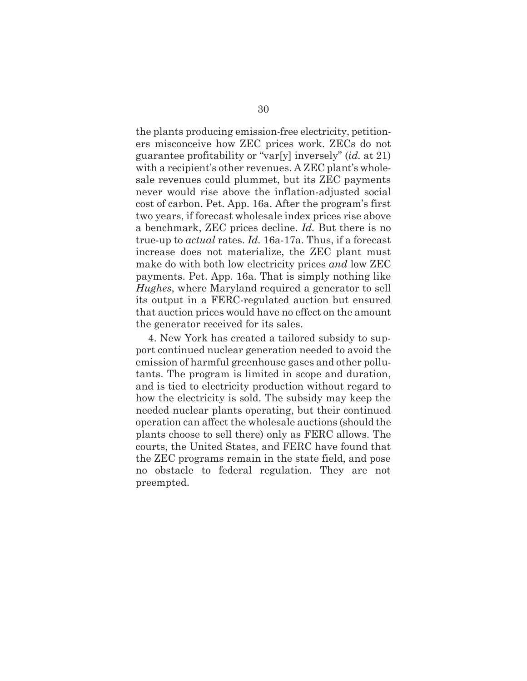the plants producing emission-free electricity, petitioners misconceive how ZEC prices work. ZECs do not guarantee profitability or "var[y] inversely" (*id.* at 21) with a recipient's other revenues. A ZEC plant's wholesale revenues could plummet, but its ZEC payments never would rise above the inflation-adjusted social cost of carbon. Pet. App. 16a. After the program's first two years, if forecast wholesale index prices rise above a benchmark, ZEC prices decline. *Id.* But there is no true-up to *actual* rates. *Id.* 16a-17a. Thus, if a forecast increase does not materialize, the ZEC plant must make do with both low electricity prices *and* low ZEC payments. Pet. App. 16a. That is simply nothing like *Hughes*, where Maryland required a generator to sell its output in a FERC-regulated auction but ensured that auction prices would have no effect on the amount the generator received for its sales.

4. New York has created a tailored subsidy to support continued nuclear generation needed to avoid the emission of harmful greenhouse gases and other pollutants. The program is limited in scope and duration, and is tied to electricity production without regard to how the electricity is sold. The subsidy may keep the needed nuclear plants operating, but their continued operation can affect the wholesale auctions (should the plants choose to sell there) only as FERC allows. The courts, the United States, and FERC have found that the ZEC programs remain in the state field, and pose no obstacle to federal regulation. They are not preempted.